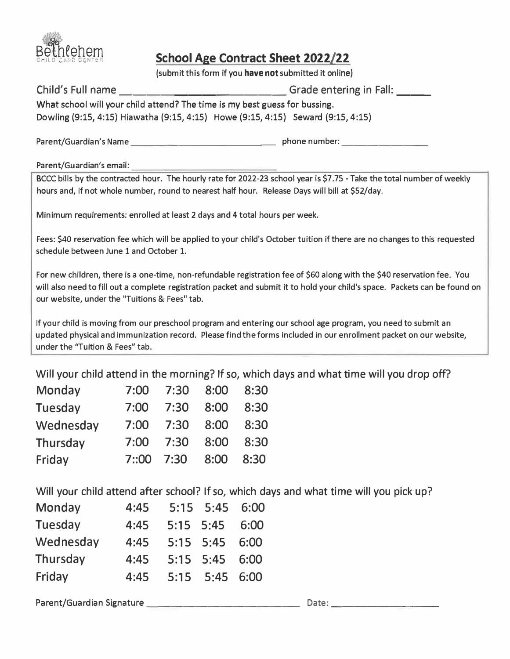

**School Age Contract Sheet 2022/22** 

**(submit this form if you have not submitted it online)** 

| Child's Full name ____________________________Grade entering in Fall: _____<br>What school will your child attend? The time is my best guess for bussing.<br>Dowling (9:15, 4:15) Hiawatha (9:15, 4:15) Howe (9:15, 4:15) Seward (9:15, 4:15) |  |
|-----------------------------------------------------------------------------------------------------------------------------------------------------------------------------------------------------------------------------------------------|--|
|                                                                                                                                                                                                                                               |  |
|                                                                                                                                                                                                                                               |  |
| BCCC bills by the contracted hour. The hourly rate for 2022-23 school year is \$7.75 - Take the total number of weekly                                                                                                                        |  |
| hours and, if not whole number, round to nearest half hour. Release Days will bill at \$52/day.                                                                                                                                               |  |
| Minimum requirements: enrolled at least 2 days and 4 total hours per week.                                                                                                                                                                    |  |
| Fees: \$40 reservation fee which will be applied to your child's October tuition if there are no changes to this requested                                                                                                                    |  |
| schedule between June 1 and October 1.                                                                                                                                                                                                        |  |
|                                                                                                                                                                                                                                               |  |
| For new children, there is a one-time, non-refundable registration fee of \$60 along with the \$40 reservation fee. You                                                                                                                       |  |
| will also need to fill out a complete registration packet and submit it to hold your child's space. Packets can be found on                                                                                                                   |  |
| our website, under the "Tuitions & Fees" tab.                                                                                                                                                                                                 |  |

**If your child is moving from our preschool program and entering our school age program, you need to submit an updated physical and immunization record. Please find the forms included in our enrollment packet on our website, under the ''Tuition & Fees" tab.** 

Will your child attend in the morning? If so, which days and what time will you drop off?

| 7:00 |      |            | 8:30                                |
|------|------|------------|-------------------------------------|
| 7:00 |      |            | 8:30                                |
| 7:00 |      |            | 8:30                                |
| 7:00 | 7:30 | 8:00       | 8:30                                |
|      |      | 8:00       | 8:30                                |
|      |      | 7::00 7:30 | 7:30 8:00<br>7:30 8:00<br>7:30 8:00 |

Will your child attend after school? If so, which days and what time will you pick up?

| Monday    | 4:45 | 5:15 5:45 6:00 |  |
|-----------|------|----------------|--|
| Tuesday   | 4:45 | 5:15 5:45 6:00 |  |
| Wednesday | 4:45 | 5:15 5:45 6:00 |  |
| Thursday  | 4:45 | 5:15 5:45 6:00 |  |
| Friday    | 4:45 | 5:15 5:45 6:00 |  |

**Parent/Guardian Signature \_\_\_\_\_\_\_\_\_\_\_\_ \_ Date: \_\_\_\_\_\_\_\_ \_**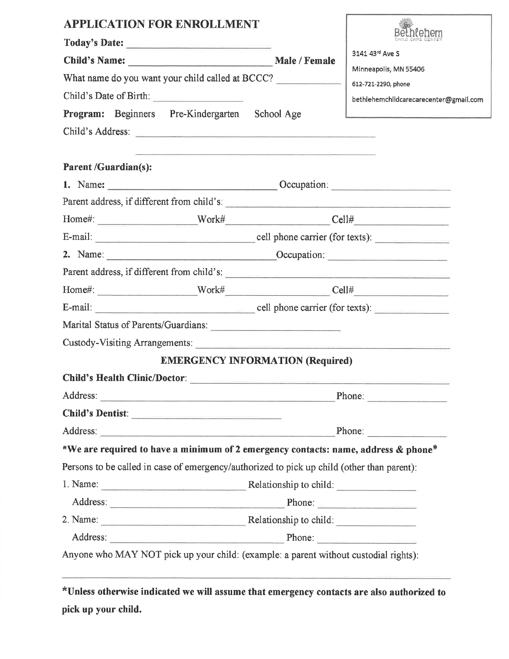| <b>APPLICATION FOR ENROLLMENT</b>                                                                                                                                                                                             |                                              |
|-------------------------------------------------------------------------------------------------------------------------------------------------------------------------------------------------------------------------------|----------------------------------------------|
|                                                                                                                                                                                                                               |                                              |
|                                                                                                                                                                                                                               | 3141 43rd Ave S                              |
| What name do you want your child called at BCCC?                                                                                                                                                                              | Minneapolis, MN 55406<br>612-721-2290, phone |
| Child's Date of Birth:                                                                                                                                                                                                        | bethlehemchildcarecarecenter@gmail.com       |
| Program: Beginners Pre-Kindergarten School Age                                                                                                                                                                                |                                              |
| Child's Address:                                                                                                                                                                                                              |                                              |
| <u> 1989 - Antonio Alemania, američki profesor († 1989)</u>                                                                                                                                                                   |                                              |
| <b>Parent /Guardian(s):</b>                                                                                                                                                                                                   |                                              |
|                                                                                                                                                                                                                               |                                              |
| Parent address, if different from child's:                                                                                                                                                                                    |                                              |
| $Home\#$ : $\hspace{2.5cm} \text{Work}\#$ $\hspace{2.5cm} \text{Cell}\#$                                                                                                                                                      |                                              |
| E-mail: cell phone carrier (for texts):                                                                                                                                                                                       |                                              |
| 2. Name: $\_\_\_\_\_\_$                                                                                                                                                                                                       |                                              |
|                                                                                                                                                                                                                               |                                              |
| $Home\#$ : $\hspace{2.5cm} Work\#$ Cell#                                                                                                                                                                                      |                                              |
|                                                                                                                                                                                                                               |                                              |
| Marital Status of Parents/Guardians:                                                                                                                                                                                          |                                              |
| Custody-Visiting Arrangements:                                                                                                                                                                                                |                                              |
| <b>EMERGENCY INFORMATION (Required)</b>                                                                                                                                                                                       |                                              |
| Child's Health Clinic/Doctor: Childen Childen Childen Childen Childen Childen Childen Childen Childen Childen Childen Childen Childen Childen Childen Childen Childen Childen Childen Childen Childen Childen Childen Childen |                                              |
|                                                                                                                                                                                                                               | Phone: $\qquad \qquad$                       |
| Child's Dentist:                                                                                                                                                                                                              |                                              |
|                                                                                                                                                                                                                               |                                              |
| *We are required to have a minimum of 2 emergency contacts: name, address & phone*                                                                                                                                            |                                              |
| Persons to be called in case of emergency/authorized to pick up child (other than parent):                                                                                                                                    |                                              |
| 1. Name: Relationship to child:                                                                                                                                                                                               |                                              |
| Address: Phone: Phone: Phone: 2008.                                                                                                                                                                                           |                                              |
| 2. Name: Relationship to child:                                                                                                                                                                                               |                                              |
|                                                                                                                                                                                                                               |                                              |
| Anyone who MAY NOT pick up your child: (example: a parent without custodial rights):                                                                                                                                          |                                              |
|                                                                                                                                                                                                                               |                                              |

\*Unless otherwise indicated we will assume that emergency contacts are also authorized to pick up your child.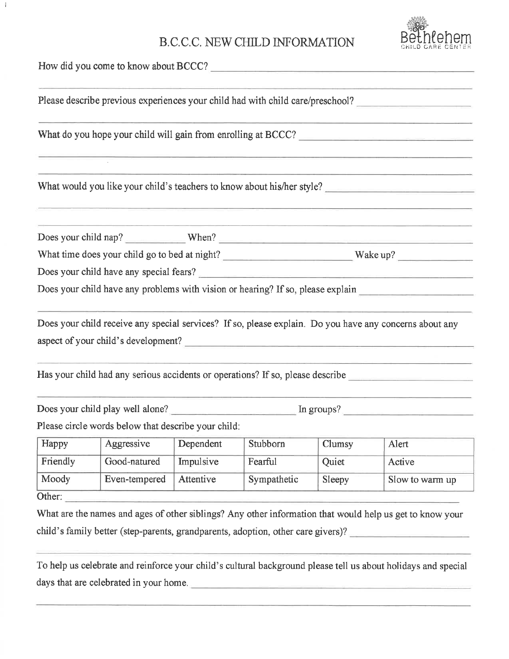### B.C.C.C. NEW CHILD INFORMATION



How did you come to know about BCCC?

 $\mathfrak{g}$ 

|          |                                                     |           |             |        | Please describe previous experiences your child had with child care/preschool?                                                                                                            |
|----------|-----------------------------------------------------|-----------|-------------|--------|-------------------------------------------------------------------------------------------------------------------------------------------------------------------------------------------|
|          |                                                     |           |             |        | What do you hope your child will gain from enrolling at BCCC?                                                                                                                             |
|          |                                                     |           |             |        | What would you like your child's teachers to know about his/her style?                                                                                                                    |
|          |                                                     |           |             |        | Does your child nap? When? When?                                                                                                                                                          |
|          |                                                     |           |             |        |                                                                                                                                                                                           |
|          | Does your child have any special fears?             |           |             |        |                                                                                                                                                                                           |
|          |                                                     |           |             |        | Does your child have any problems with vision or hearing? If so, please explain                                                                                                           |
|          |                                                     |           |             |        |                                                                                                                                                                                           |
|          | aspect of your child's development?                 |           |             |        | Does your child receive any special services? If so, please explain. Do you have any concerns about any<br>Has your child had any serious accidents or operations? If so, please describe |
|          |                                                     |           |             |        |                                                                                                                                                                                           |
|          | Please circle words below that describe your child: |           |             |        |                                                                                                                                                                                           |
| Happy    | Aggressive                                          | Dependent | Stubborn    | Clumsy | Alert                                                                                                                                                                                     |
| Friendly | Good-natured                                        | Impulsive | Fearful     | Quiet  | Active                                                                                                                                                                                    |
| Moody    | Even-tempered                                       | Attentive | Sympathetic | Sleepy | Slow to warm up                                                                                                                                                                           |
|          |                                                     |           |             |        |                                                                                                                                                                                           |
| Other:   |                                                     |           |             |        | What are the names and ages of other siblings? Any other information that would help us get to know your                                                                                  |

To help us celebrate and reinforce your child's cultural background please tell us about holidays and special days that are celebrated in your home.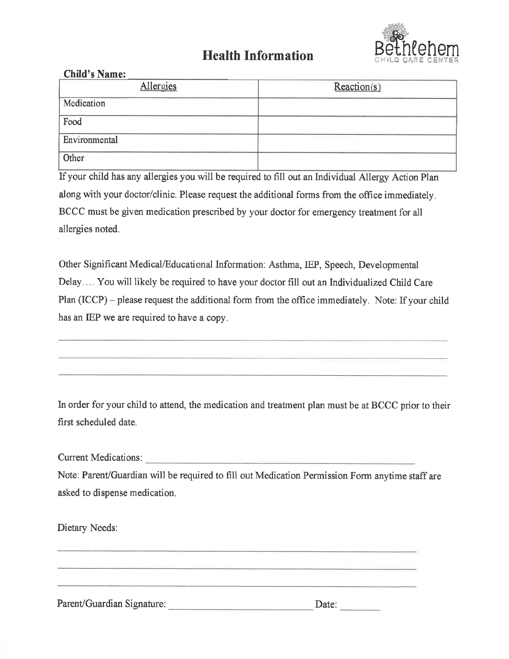

## **Health Information**

#### **Child's Name:**

| Allergies     | Reaction(s) |
|---------------|-------------|
| Medication    |             |
| Food          |             |
| Environmental |             |
| Other         |             |

If your child has any allergies you will be required to fill out an Individual Allergy Action Plan along with your doctor/clinic. Please request the additional forms from the office immediately. BCCC must be given medication prescribed by your doctor for emergency treatment for all allergies noted.

Other Significant Medical/Educational Information: Asthma, IEP, Speech, Developmental Delay.... You will likely be required to have your doctor fill out an Individualized Child Care Plan (ICCP) – please request the additional form from the office immediately. Note: If your child has an IEP we are required to have a copy.

In order for your child to attend, the medication and treatment plan must be at BCCC prior to their first scheduled date.

Current Medications:

Note: Parent/Guardian will be required to fill out Medication Permission Form anytime staff are asked to dispense medication.

Dietary Needs:

Parent/Guardian Signature: Date: Date: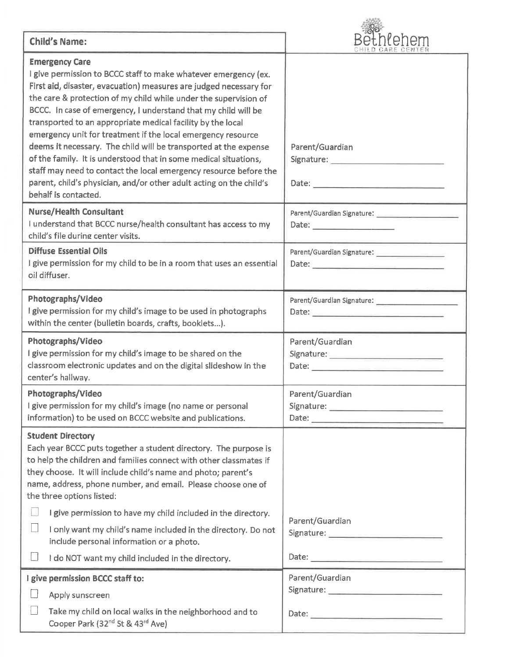| <b>Child's Name:</b>                                                                                                                                                                                                                                                                                                                                                                                                                                                                                                                                                                                                                                                                                                                            | <i>l</i> enem                                        |
|-------------------------------------------------------------------------------------------------------------------------------------------------------------------------------------------------------------------------------------------------------------------------------------------------------------------------------------------------------------------------------------------------------------------------------------------------------------------------------------------------------------------------------------------------------------------------------------------------------------------------------------------------------------------------------------------------------------------------------------------------|------------------------------------------------------|
| <b>Emergency Care</b><br>I give permission to BCCC staff to make whatever emergency (ex.<br>First aid, disaster, evacuation) measures are judged necessary for<br>the care & protection of my child while under the supervision of<br>BCCC. In case of emergency, I understand that my child will be<br>transported to an appropriate medical facility by the local<br>emergency unit for treatment if the local emergency resource<br>deems it necessary. The child will be transported at the expense<br>of the family. It is understood that in some medical situations,<br>staff may need to contact the local emergency resource before the<br>parent, child's physician, and/or other adult acting on the child's<br>behalf is contacted. | Parent/Guardian<br>Signature: ______________________ |
| <b>Nurse/Health Consultant</b><br>I understand that BCCC nurse/health consultant has access to my<br>child's file during center visits.                                                                                                                                                                                                                                                                                                                                                                                                                                                                                                                                                                                                         | Parent/Guardian Signature:                           |
| <b>Diffuse Essential Oils</b><br>I give permission for my child to be in a room that uses an essential<br>oil diffuser.                                                                                                                                                                                                                                                                                                                                                                                                                                                                                                                                                                                                                         |                                                      |
| Photographs/Video<br>I give permission for my child's image to be used in photographs<br>within the center (bulletin boards, crafts, booklets).                                                                                                                                                                                                                                                                                                                                                                                                                                                                                                                                                                                                 |                                                      |
| Photographs/Video<br>I give permission for my child's image to be shared on the<br>classroom electronic updates and on the digital slideshow in the<br>center's hallway.                                                                                                                                                                                                                                                                                                                                                                                                                                                                                                                                                                        | Parent/Guardian                                      |
| Photographs/Video<br>I give permission for my child's image (no name or personal<br>information) to be used on BCCC website and publications.                                                                                                                                                                                                                                                                                                                                                                                                                                                                                                                                                                                                   | Parent/Guardian                                      |
| <b>Student Directory</b><br>Each year BCCC puts together a student directory. The purpose is<br>to help the children and families connect with other classmates if<br>they choose. It will include child's name and photo; parent's<br>name, address, phone number, and email. Please choose one of<br>the three options listed:                                                                                                                                                                                                                                                                                                                                                                                                                |                                                      |
| I give permission to have my child included in the directory.                                                                                                                                                                                                                                                                                                                                                                                                                                                                                                                                                                                                                                                                                   | Parent/Guardian                                      |
| I only want my child's name included in the directory. Do not<br>include personal information or a photo.                                                                                                                                                                                                                                                                                                                                                                                                                                                                                                                                                                                                                                       |                                                      |
| $\sqcup$<br>I do NOT want my child included in the directory.                                                                                                                                                                                                                                                                                                                                                                                                                                                                                                                                                                                                                                                                                   |                                                      |
| I give permission BCCC staff to:                                                                                                                                                                                                                                                                                                                                                                                                                                                                                                                                                                                                                                                                                                                | Parent/Guardian<br>Signature: Signature:             |
| Apply sunscreen<br>Take my child on local walks in the neighborhood and to<br>Cooper Park (32 <sup>nd</sup> St & 43 <sup>rd</sup> Ave)                                                                                                                                                                                                                                                                                                                                                                                                                                                                                                                                                                                                          |                                                      |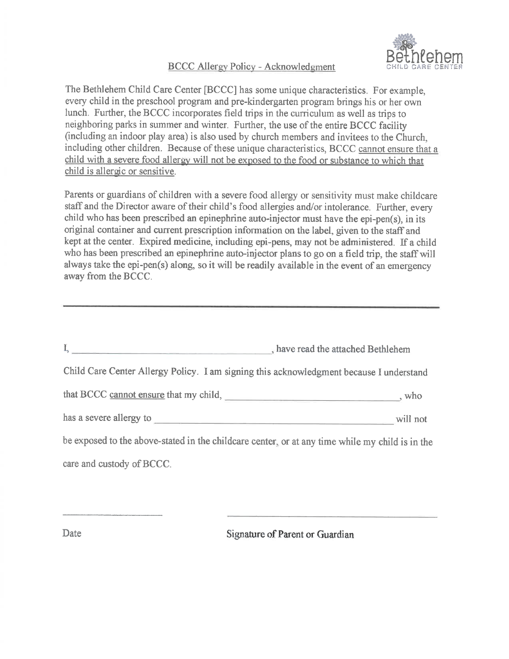#### **BCCC Allergy Policy - Acknowledgment**



The Bethlehem Child Care Center [BCCC] has some unique characteristics. For example, every child in the preschool program and pre-kindergarten program brings his or her own lunch. Further, the BCCC incorporates field trips in the curriculum as well as trips to neighboring parks in summer and winter. Further, the use of the entire BCCC facility (including an indoor play area) is also used by church members and invitees to the Church, including other children. Because of these unique characteristics, BCCC cannot ensure that a child with a severe food allergy will not be exposed to the food or substance to which that child is allergic or sensitive.

Parents or guardians of children with a severe food allergy or sensitivity must make childcare staff and the Director aware of their child's food allergies and/or intolerance. Further, every child who has been prescribed an epinephrine auto-injector must have the epi-pen $(s)$ , in its original container and current prescription information on the label, given to the staff and kept at the center. Expired medicine, including epi-pens, may not be administered. If a child who has been prescribed an epinephrine auto-injector plans to go on a field trip, the staff will always take the epi-pen(s) along, so it will be readily available in the event of an emergency away from the BCCC.

|                                                                                                 | , have read the attached Bethlehem |
|-------------------------------------------------------------------------------------------------|------------------------------------|
| Child Care Center Allergy Policy. I am signing this acknowledgment because I understand         |                                    |
| that BCCC cannot ensure that my child, who                                                      |                                    |
|                                                                                                 | will not                           |
| be exposed to the above-stated in the childcare center, or at any time while my child is in the |                                    |
| care and custody of BCCC.                                                                       |                                    |

Date

Signature of Parent or Guardian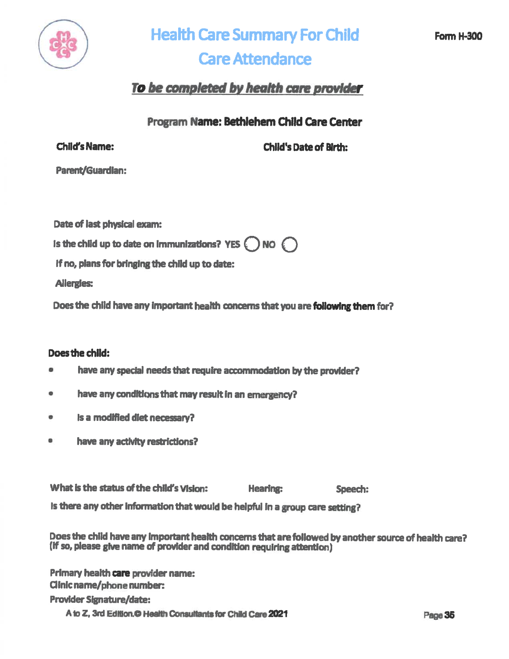

# **Health Care Summary For Child Care Attendance**

## To be completed by health care provider

Program Name: Bethlehem Child Care Center

**Child's Date of Birth:** 

Parent/Guardian:

**Child's Name:** 

Date of last physical exam:

is the child up to date on immunizations? YES  $\bigcirc$  NO  $\bigcirc$ 

If no, plans for bringing the child up to date:

**Allergies:** 

Does the child have any important health concerns that you are following them for?

#### Does the child:

- $\bullet$ have any special needs that require accommodation by the provider?
- have any conditions that may result in an emergency?  $\bullet$
- Is a modified diet necessary?  $\bullet$
- have any activity restrictions?  $\bullet$

What is the status of the child's Vision: **Hearing:** Speech:

Is there any other information that would be helpful in a group care setting?

Does the child have any important health concerns that are followed by another source of health care? (If so, please give name of provider and condition requiring attention)

Primary health care provider name: Clinic name/phone number: **Provider Signature/date:** A to Z. 3rd Edition.© Health Consultants for Child Care 2021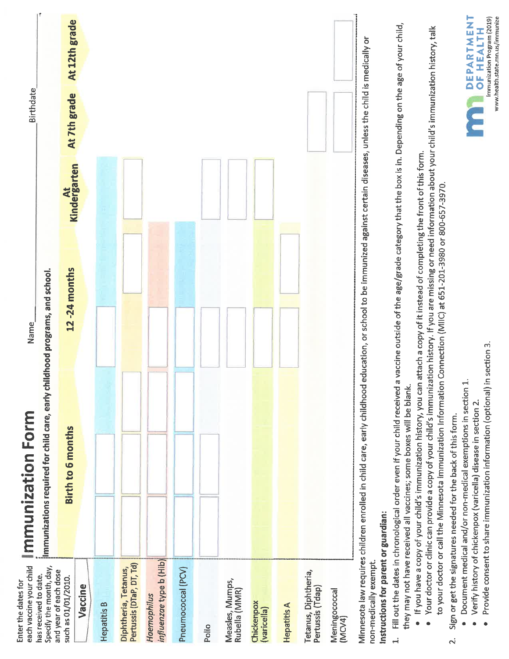| each vaccine your child<br>Enter the dates for                                                  | Immunization Form                                                                                                                                                                                                                                                                                                                                                                                                                                                                                                                                                                                                                                                                                                                                                                                                                                                                          | Name                                                                                                                                                                 |                           | Birthdate    |                               |
|-------------------------------------------------------------------------------------------------|--------------------------------------------------------------------------------------------------------------------------------------------------------------------------------------------------------------------------------------------------------------------------------------------------------------------------------------------------------------------------------------------------------------------------------------------------------------------------------------------------------------------------------------------------------------------------------------------------------------------------------------------------------------------------------------------------------------------------------------------------------------------------------------------------------------------------------------------------------------------------------------------|----------------------------------------------------------------------------------------------------------------------------------------------------------------------|---------------------------|--------------|-------------------------------|
| Specify the month, day,<br>has received to date.                                                | Immunizations required for child care, early childhood programs, and school.                                                                                                                                                                                                                                                                                                                                                                                                                                                                                                                                                                                                                                                                                                                                                                                                               |                                                                                                                                                                      |                           |              |                               |
| and year of each dose<br>such as 01/01/2010.                                                    | <b>Birth to 6 months</b>                                                                                                                                                                                                                                                                                                                                                                                                                                                                                                                                                                                                                                                                                                                                                                                                                                                                   | 12 - 24 months                                                                                                                                                       | <b>At</b><br>Kindergarten | At 7th grade | At 12th grade                 |
| Vaccine                                                                                         |                                                                                                                                                                                                                                                                                                                                                                                                                                                                                                                                                                                                                                                                                                                                                                                                                                                                                            |                                                                                                                                                                      |                           |              |                               |
| Hepatitis B                                                                                     |                                                                                                                                                                                                                                                                                                                                                                                                                                                                                                                                                                                                                                                                                                                                                                                                                                                                                            |                                                                                                                                                                      |                           |              |                               |
| Pertussis (DTaP, DT, Td)<br>Diphtheria, Tetanus,                                                |                                                                                                                                                                                                                                                                                                                                                                                                                                                                                                                                                                                                                                                                                                                                                                                                                                                                                            |                                                                                                                                                                      |                           |              |                               |
| influenzae type b (Hib)<br>Haemophilus                                                          |                                                                                                                                                                                                                                                                                                                                                                                                                                                                                                                                                                                                                                                                                                                                                                                                                                                                                            |                                                                                                                                                                      |                           |              |                               |
| Pneumococcal (PCV)                                                                              |                                                                                                                                                                                                                                                                                                                                                                                                                                                                                                                                                                                                                                                                                                                                                                                                                                                                                            |                                                                                                                                                                      |                           |              |                               |
| Polio                                                                                           |                                                                                                                                                                                                                                                                                                                                                                                                                                                                                                                                                                                                                                                                                                                                                                                                                                                                                            |                                                                                                                                                                      |                           |              |                               |
| Measles, Mumps,<br>Rubella (MMR)                                                                |                                                                                                                                                                                                                                                                                                                                                                                                                                                                                                                                                                                                                                                                                                                                                                                                                                                                                            |                                                                                                                                                                      |                           |              |                               |
| Chickenpox<br>(varicella)                                                                       |                                                                                                                                                                                                                                                                                                                                                                                                                                                                                                                                                                                                                                                                                                                                                                                                                                                                                            |                                                                                                                                                                      |                           |              |                               |
| <b>Hepatitis A</b>                                                                              |                                                                                                                                                                                                                                                                                                                                                                                                                                                                                                                                                                                                                                                                                                                                                                                                                                                                                            |                                                                                                                                                                      |                           |              |                               |
| Tetanus, Diphtheria,<br>Pertussis (Tdap)                                                        |                                                                                                                                                                                                                                                                                                                                                                                                                                                                                                                                                                                                                                                                                                                                                                                                                                                                                            |                                                                                                                                                                      |                           |              |                               |
| Meningococcal<br>(MCV4)                                                                         |                                                                                                                                                                                                                                                                                                                                                                                                                                                                                                                                                                                                                                                                                                                                                                                                                                                                                            |                                                                                                                                                                      |                           |              |                               |
| Instructions for parent or guardian:<br>non-medically exempt.<br>$\overline{\mathcal{N}}$<br>ڼې | Fill out the dates in chronological order even if your child received a vaccine outside of the age/grade category that the box is in. Depending on the age of your child,<br>Your doctor or clinic can provide a copy of your child's immunization history. If you are missing or need information about your child's immunization history, talk<br>to your doctor or call the Minnesota Immunization Information Connection (MIIC) at 651-201-3980 or 800-657-3970.<br>If you have a copy of your child's immunization history, you can<br>Document medical and/or non-medical exemptions in section 1<br>Minnesota law requires children enrolled in child care, early childhood<br>they may not have received all vaccines; some boxes will be blank.<br>Verify history of chickenpox (varicella) disease in section 2.<br>Sign or get the signatures needed for the back of this form. | education, or school to be immunized against certain diseases, unless the child is medically or<br>attach a copy of it instead of completing the front of this form. |                           |              | <b>DEPARTMEN</b><br>Of HEALTH |
|                                                                                                 |                                                                                                                                                                                                                                                                                                                                                                                                                                                                                                                                                                                                                                                                                                                                                                                                                                                                                            |                                                                                                                                                                      |                           |              |                               |

Immunization Program (2019)<br>www.health.state.mn.us/immunize

· Provide consent to share immunization information (optional) in section 3.